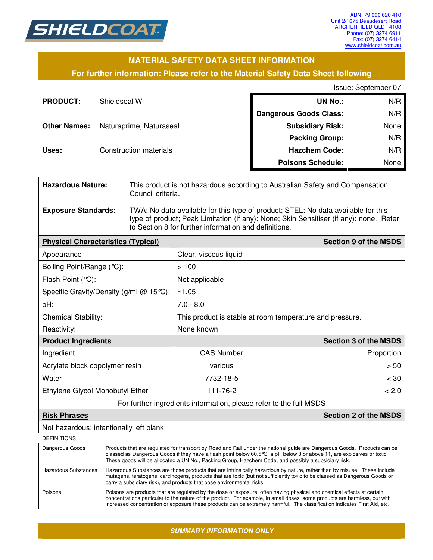

### **MATERIAL SAFETY DATA SHEET INFORMATION**

### **For further information: Please refer to the Material Safety Data Sheet following**

Issue: September 07

| <b>PRODUCT:</b>     | Shieldseal W            | <b>UN No.:</b>                | N/R  |
|---------------------|-------------------------|-------------------------------|------|
|                     |                         | <b>Dangerous Goods Class:</b> | N/R  |
| <b>Other Names:</b> | Naturaprime, Naturaseal | <b>Subsidiary Risk:</b>       | None |
|                     |                         | <b>Packing Group:</b>         | N/R  |
| Uses:               | Construction materials  | <b>Hazchem Code:</b>          | N/R  |
|                     |                         | <b>Poisons Schedule:</b>      | None |

| <b>Hazardous Nature:</b>                                           |  | This product is not hazardous according to Australian Safety and Compensation<br>Council criteria.                                                                                                                                                           |                              |       |  |
|--------------------------------------------------------------------|--|--------------------------------------------------------------------------------------------------------------------------------------------------------------------------------------------------------------------------------------------------------------|------------------------------|-------|--|
| <b>Exposure Standards:</b>                                         |  | TWA: No data available for this type of product; STEL: No data available for this<br>type of product; Peak Limitation (if any): None; Skin Sensitiser (if any): none. Refer<br>to Section 8 for further information and definitions.                         |                              |       |  |
| <b>Physical Characteristics (Typical)</b>                          |  |                                                                                                                                                                                                                                                              | <b>Section 9 of the MSDS</b> |       |  |
| Appearance                                                         |  |                                                                                                                                                                                                                                                              | Clear, viscous liquid        |       |  |
| Boiling Point/Range (°C):                                          |  |                                                                                                                                                                                                                                                              | >100                         |       |  |
| Flash Point (°C):                                                  |  | Not applicable                                                                                                                                                                                                                                               |                              |       |  |
| Specific Gravity/Density (g/ml @ 15℃):                             |  |                                                                                                                                                                                                                                                              | ~1.05                        |       |  |
| pH:                                                                |  | $7.0 - 8.0$                                                                                                                                                                                                                                                  |                              |       |  |
| <b>Chemical Stability:</b>                                         |  | This product is stable at room temperature and pressure.                                                                                                                                                                                                     |                              |       |  |
| Reactivity:                                                        |  | None known                                                                                                                                                                                                                                                   |                              |       |  |
| <b>Product Ingredients</b>                                         |  |                                                                                                                                                                                                                                                              | <b>Section 3 of the MSDS</b> |       |  |
| Ingredient                                                         |  | <b>CAS Number</b>                                                                                                                                                                                                                                            | Proportion                   |       |  |
| Acrylate block copolymer resin                                     |  | various                                                                                                                                                                                                                                                      | > 50                         |       |  |
| Water                                                              |  | 7732-18-5                                                                                                                                                                                                                                                    | $<$ 30                       |       |  |
| Ethylene Glycol Monobutyl Ether                                    |  | 111-76-2                                                                                                                                                                                                                                                     |                              | < 2.0 |  |
| For further ingredients information, please refer to the full MSDS |  |                                                                                                                                                                                                                                                              |                              |       |  |
| <b>Section 2 of the MSDS</b><br><b>Risk Phrases</b>                |  |                                                                                                                                                                                                                                                              |                              |       |  |
| Not hazardous: intentionally left blank                            |  |                                                                                                                                                                                                                                                              |                              |       |  |
| <b>DEFINITIONS</b>                                                 |  |                                                                                                                                                                                                                                                              |                              |       |  |
| Dangerous Goods                                                    |  | Products that are regulated for transport by Road and Rail under the national guide are Dangerous Goods. Products can be<br>classed as Dangerous Goods if they have a flash point below 60.5 $\degree$ C, a pH below 3 or above 11, are explosives or toxic. |                              |       |  |

| Dangerous Goods      | Products that are regulated for transport by Road and Rail under the national guide are Dangerous Goods. Products can be<br>classed as Dangerous Goods if they have a flash point below 60.5 °C, a pH below 3 or above 11, are explosives or toxic.<br>These goods will be allocated a UN No., Packing Group, Hazchem Code, and possibly a subsidiary risk.                      |
|----------------------|----------------------------------------------------------------------------------------------------------------------------------------------------------------------------------------------------------------------------------------------------------------------------------------------------------------------------------------------------------------------------------|
| Hazardous Substances | Hazardous Substances are those products that are intrinsically hazardous by nature, rather than by misuse. These include<br>mutagens, teratogens, carcinogens, products that are toxic (but not sufficiently toxic to be classed as Dangerous Goods or<br>carry a subsidiary risk), and products that pose environmental risks.                                                  |
| Poisons              | Poisons are products that are regulated by the dose or exposure, often having physical and chemical effects at certain<br>concentrations particular to the nature of the product. For example, in small doses, some products are harmless, but with<br>increased concentration or exposure these products can be extremely harmful. The classification indicates First Aid, etc. |

*SUMMARY INFORMATION ONLY*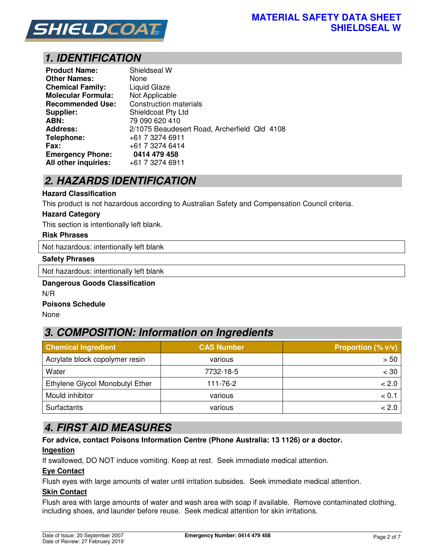

# *1. IDENTIFICATION*

| <b>Product Name:</b>      | Shieldseal W                                 |
|---------------------------|----------------------------------------------|
| <b>Other Names:</b>       | None                                         |
| <b>Chemical Family:</b>   | <b>Liquid Glaze</b>                          |
| <b>Molecular Formula:</b> | Not Applicable                               |
| <b>Recommended Use:</b>   | <b>Construction materials</b>                |
| Supplier:                 | Shieldcoat Pty Ltd                           |
| ABN:                      | 79 090 620 410                               |
| <b>Address:</b>           | 2/1075 Beaudesert Road, Archerfield Qld 4108 |
| Telephone:                | +61 7 3274 6911                              |
| <b>Fax:</b>               | +61 7 3274 6414                              |
| <b>Emergency Phone:</b>   | 0414 479 458                                 |
| All other inquiries:      | +61 7 3274 6911                              |

## *2. HAZARDS IDENTIFICATION*

#### **Hazard Classification**

This product is not hazardous according to Australian Safety and Compensation Council criteria.

#### **Hazard Category**

This section is intentionally left blank.

### **Risk Phrases**

Not hazardous: intentionally left blank

#### **Safety Phrases**

Not hazardous: intentionally left blank

# **Dangerous Goods Classification**

N/R

### **Poisons Schedule**

None

### *3. COMPOSITION: Information on Ingredients*

| <b>Chemical Ingredient</b>      | <b>CAS Number</b> | <b>Proportion (% v/v)</b> |
|---------------------------------|-------------------|---------------------------|
| Acrylate block copolymer resin  | various           | > 50                      |
| Water                           | 7732-18-5         | $<$ 30                    |
| Ethylene Glycol Monobutyl Ether | 111-76-2          | < 2.0                     |
| Mould inhibitor                 | various           | < 0.                      |
| Surfactants                     | various           | < 2.0                     |

### *4. FIRST AID MEASURES*

**For advice, contact Poisons Information Centre (Phone Australia: 13 1126) or a doctor.** 

### **Ingestion**

If swallowed, DO NOT induce vomiting. Keep at rest. Seek immediate medical attention.

### **Eye Contact**

Flush eyes with large amounts of water until irritation subsides. Seek immediate medical attention.

### **Skin Contact**

Flush area with large amounts of water and wash area with soap if available. Remove contaminated clothing, including shoes, and launder before reuse. Seek medical attention for skin irritations.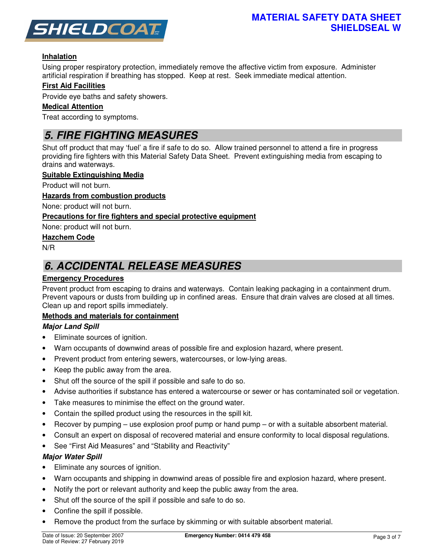

### **Inhalation**

Using proper respiratory protection, immediately remove the affective victim from exposure. Administer artificial respiration if breathing has stopped. Keep at rest. Seek immediate medical attention.

### **First Aid Facilities**

Provide eye baths and safety showers.

### **Medical Attention**

Treat according to symptoms.

## *5. FIRE FIGHTING MEASURES*

Shut off product that may 'fuel' a fire if safe to do so. Allow trained personnel to attend a fire in progress providing fire fighters with this Material Safety Data Sheet. Prevent extinguishing media from escaping to drains and waterways.

### **Suitable Extinguishing Media**

Product will not burn.

#### **Hazards from combustion products**

None: product will not burn.

### **Precautions for fire fighters and special protective equipment**

None: product will not burn.

### **Hazchem Code**

N/R

## *6. ACCIDENTAL RELEASE MEASURES*

### **Emergency Procedures**

Prevent product from escaping to drains and waterways. Contain leaking packaging in a containment drum. Prevent vapours or dusts from building up in confined areas. Ensure that drain valves are closed at all times. Clean up and report spills immediately.

### **Methods and materials for containment**

### *Major Land Spill*

- Eliminate sources of ignition.
- Warn occupants of downwind areas of possible fire and explosion hazard, where present.
- Prevent product from entering sewers, watercourses, or low-lying areas.
- Keep the public away from the area.
- Shut off the source of the spill if possible and safe to do so.
- Advise authorities if substance has entered a watercourse or sewer or has contaminated soil or vegetation.
- Take measures to minimise the effect on the ground water.
- Contain the spilled product using the resources in the spill kit.
- Recover by pumping use explosion proof pump or hand pump or with a suitable absorbent material.
- Consult an expert on disposal of recovered material and ensure conformity to local disposal regulations.
- See "First Aid Measures" and "Stability and Reactivity"

### *Major Water Spill*

- Eliminate any sources of ignition.
- Warn occupants and shipping in downwind areas of possible fire and explosion hazard, where present.
- Notify the port or relevant authority and keep the public away from the area.
- Shut off the source of the spill if possible and safe to do so.
- Confine the spill if possible.
- Remove the product from the surface by skimming or with suitable absorbent material.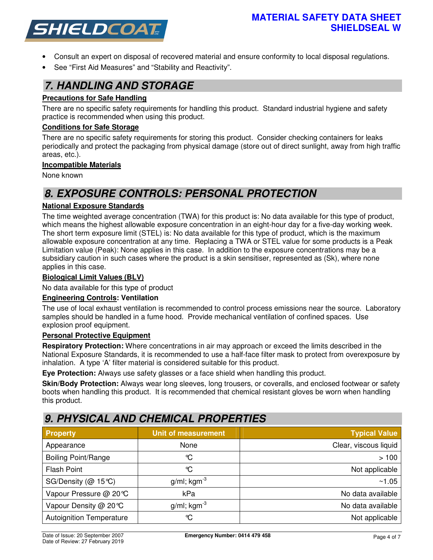

- Consult an expert on disposal of recovered material and ensure conformity to local disposal regulations.
- See "First Aid Measures" and "Stability and Reactivity".

### *7. HANDLING AND STORAGE*

### **Precautions for Safe Handling**

There are no specific safety requirements for handling this product. Standard industrial hygiene and safety practice is recommended when using this product.

### **Conditions for Safe Storage**

There are no specific safety requirements for storing this product. Consider checking containers for leaks periodically and protect the packaging from physical damage (store out of direct sunlight, away from high traffic areas, etc.).

### **Incompatible Materials**

None known

## *8. EXPOSURE CONTROLS: PERSONAL PROTECTION*

### **National Exposure Standards**

The time weighted average concentration (TWA) for this product is: No data available for this type of product, which means the highest allowable exposure concentration in an eight-hour day for a five-day working week. The short term exposure limit (STEL) is: No data available for this type of product, which is the maximum allowable exposure concentration at any time. Replacing a TWA or STEL value for some products is a Peak Limitation value (Peak): None applies in this case. In addition to the exposure concentrations may be a subsidiary caution in such cases where the product is a skin sensitiser, represented as (Sk), where none applies in this case.

### **Biological Limit Values (BLV)**

No data available for this type of product

### **Engineering Controls: Ventilation**

The use of local exhaust ventilation is recommended to control process emissions near the source. Laboratory samples should be handled in a fume hood. Provide mechanical ventilation of confined spaces. Use explosion proof equipment.

### **Personal Protective Equipment**

**Respiratory Protection:** Where concentrations in air may approach or exceed the limits described in the National Exposure Standards, it is recommended to use a half-face filter mask to protect from overexposure by inhalation. A type 'A' filter material is considered suitable for this product.

**Eye Protection:** Always use safety glasses or a face shield when handling this product.

**Skin/Body Protection:** Always wear long sleeves, long trousers, or coveralls, and enclosed footwear or safety boots when handling this product. It is recommended that chemical resistant gloves be worn when handling this product.

### *9. PHYSICAL AND CHEMICAL PROPERTIES*

| <b>Property</b>                 | <b>Unit of measurement</b> | <b>Typical Value</b>  |
|---------------------------------|----------------------------|-----------------------|
| Appearance                      | None                       | Clear, viscous liquid |
| <b>Boiling Point/Range</b>      | ℃                          | >100                  |
| <b>Flash Point</b>              | °C                         | Not applicable        |
| SG/Density ( $@$ 15°C)          | $g/ml$ ; kgm <sup>-3</sup> | ~1.05                 |
| Vapour Pressure @ 20℃           | kPa                        | No data available     |
| Vapour Density @ 20℃            | $g/ml$ ; kgm <sup>-3</sup> | No data available     |
| <b>Autoignition Temperature</b> | ℃                          | Not applicable        |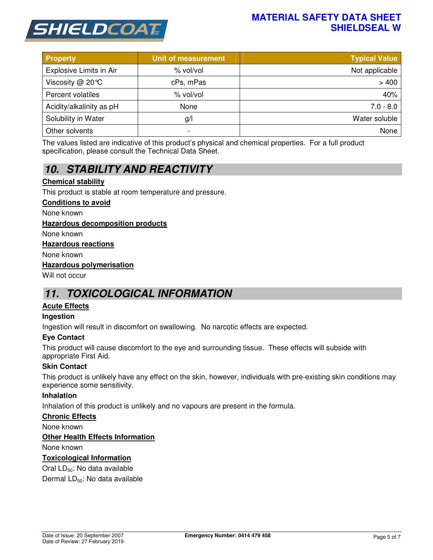

### **MATERIAL SAFETY DATA SHEET SHIELDSEAL W**

| <b>Property</b>                | Unit of measurement | <b>Typical Value</b> |
|--------------------------------|---------------------|----------------------|
| <b>Explosive Limits in Air</b> | % vol/vol           | Not applicable       |
| Viscosity $@$ 20 °C            | cPs, mPas           | >400                 |
| Percent volatiles              | % vol/vol           | 40%                  |
| Acidity/alkalinity as pH       | None                | $7.0 - 8.0$          |
| Solubility in Water            | g/                  | Water soluble        |
| Other solvents                 | -                   | None                 |

The values listed are indicative of this product's physical and chemical properties. For a full product specification, please consult the Technical Data Sheet.

# *10. STABILITY AND REACTIVITY*

### **Chemical stability**

This product is stable at room temperature and pressure.

#### **Conditions to avoid**

None known

### **Hazardous decomposition products**

None known

#### **Hazardous reactions**

None known

#### **Hazardous polymerisation**

Will not occur

### *11. TOXICOLOGICAL INFORMATION*

### **Acute Effects**

### **Ingestion**

Ingestion will result in discomfort on swallowing. No narcotic effects are expected.

### **Eye Contact**

This product will cause discomfort to the eye and surrounding tissue. These effects will subside with appropriate First Aid.

### **Skin Contact**

This product is unlikely have any effect on the skin, however, individuals with pre-existing skin conditions may experience some sensitivity.

### **Inhalation**

Inhalation of this product is unlikely and no vapours are present in the formula.

### **Chronic Effects**

None known

### **Other Health Effects Information**

None known

### **Toxicological Information**

Oral LD<sub>50</sub>: No data available

Dermal LD<sub>50</sub>: No data available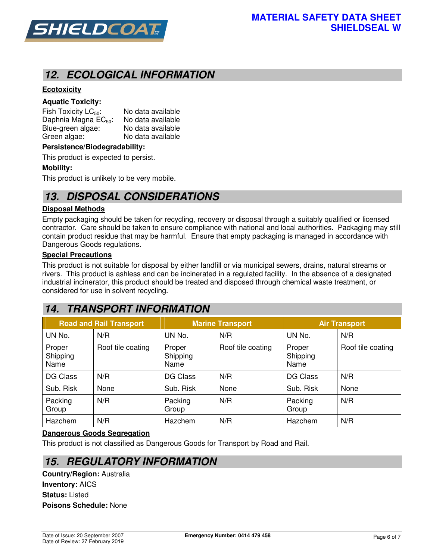

## *12. ECOLOGICAL INFORMATION*

### **Ecotoxicity**

### **Aquatic Toxicity:**

Fish Toxicity  $LC_{50}$ : No data available Daphnia Magna  $EC_{50}$ : No data available<br>Blue-green algae: No data available Blue-green algae: Green algae: No data available

#### **Persistence/Biodegradability:**

This product is expected to persist.

### **Mobility:**

This product is unlikely to be very mobile.

## *13. DISPOSAL CONSIDERATIONS*

#### **Disposal Methods**

Empty packaging should be taken for recycling, recovery or disposal through a suitably qualified or licensed contractor. Care should be taken to ensure compliance with national and local authorities. Packaging may still contain product residue that may be harmful. Ensure that empty packaging is managed in accordance with Dangerous Goods regulations.

#### **Special Precautions**

This product is not suitable for disposal by either landfill or via municipal sewers, drains, natural streams or rivers. This product is ashless and can be incinerated in a regulated facility. In the absence of a designated industrial incinerator, this product should be treated and disposed through chemical waste treatment, or considered for use in solvent recycling.

# *14. TRANSPORT INFORMATION*

| <b>Road and Rail Transport</b> |                   | <b>Marine Transport</b>    |                   | <b>Air Transport</b>       |                   |
|--------------------------------|-------------------|----------------------------|-------------------|----------------------------|-------------------|
| UN No.                         | N/R               | UN No.                     | N/R               | UN No.                     | N/R               |
| Proper<br>Shipping<br>Name     | Roof tile coating | Proper<br>Shipping<br>Name | Roof tile coating | Proper<br>Shipping<br>Name | Roof tile coating |
| <b>DG Class</b>                | N/R               | DG Class                   | N/R               | DG Class                   | N/R               |
| Sub. Risk                      | None              | Sub. Risk                  | None              | Sub. Risk                  | None              |
| Packing<br>Group               | N/R               | Packing<br>Group           | N/R               | Packing<br>Group           | N/R               |
| Hazchem                        | N/R               | Hazchem                    | N/R               | Hazchem                    | N/R               |

### **Dangerous Goods Segregation**

This product is not classified as Dangerous Goods for Transport by Road and Rail.

### *15. REGULATORY INFORMATION*

**Country/Region:** Australia **Inventory:** AICS **Status:** Listed **Poisons Schedule:** None